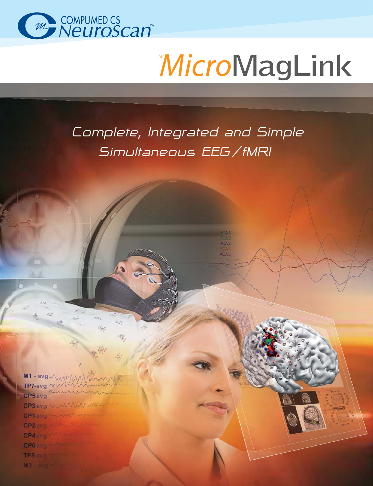

# **MicroMagLink**

## *Complete, Integrated and Simple Simultaneous EEG / fMRI*

PCA3 PCA<sub>5</sub>

 $M1 - avg \sqrt{M}$ MAAN TP7-avg CP5 avg CP3-avg NWW CP1-avg CP<sub>2</sub> avg CP4 avg CP6 avg TP8-avg M2 - avg - Live

牧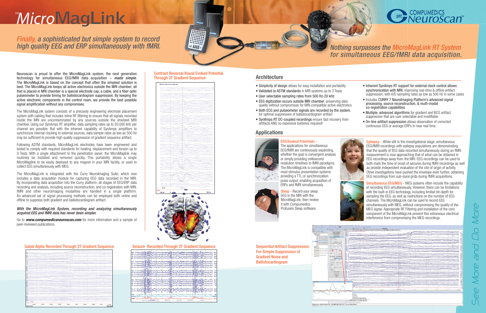## *MicroMagLink*

Finally, a sophisticated but simple system to record high quality EEG and ERP simultaneously with fMRI.

Neuroscan is proud to offer the MicroMagLink system; the next generation technology for simultaneous EEG/fMRI data acquisition  $-$  made simple. The MicroMagLink is based on the concept that often the simplest solution is best. The MicroMagLink keeps all active electronics outside the MRI chamber; all that is placed in MRI chamber is a special electrode cap, a cable, and a fiber optic pulseometer to provide timing for ballistocardiogram suppression. By keeping the active electronic components in the control room, we provide the best possible signal amplification without any compromises.

The MicroMagLink system consists of a precisely engineering electrode placement system with cabling that includes inline RF filtering to ensure that all signals recorded inside the MRI are uncontaminated by any sources outside the shielded MRI chamber. Using our SynAmps RT amplifier, data sampling rates up to 20,000 kHz per channel are possible. But with the inherent capability of SynAmps amplifiers to synchronize internal clocking to external sources, data sample rates as low as 500 Hz may be sufficient to provide high quality suppression of gradient sequence artifact.

The MicroMagLink is integrated with the Curry NeuroImaging Suite, which now includes a data acquisition module for capturing EEG data recorded in the MRI. By incorporating data acquisition into the Curry platform, all stages of EEG/ERP data recording and analysis, including source reconstruction, and co-registration with MRI, fMRI and other neuroimaging modalities are handled in a single platform. An advanced set of signal processing methods can be employed both online and offline to suppress both gradient and ballistocardiogram artifact.

#### With the MicroMagLink System, recording and analyzing simultaneously acquired EEG and fMRI data has never been simpler.

Following ASTM standards, MicroMagLink electrodes have been engineered and tested to comply with required standards for heating, displacement and torsion up to 3 Tesla. With a single attachment to the penetration panel, the MicroMaglink may routinely be installed and removed quickly. This portability allows a single MicroMaglink to be easily deployed to any magnet in your MRI facility, or used to collect EEG simultaneously with MEG.

Go to *www.compumedicsneuroscan.com* for more information and a sample of peer-reviewed publications.

#### Gated Alpha Recorded Through 3T Gradient Sequence Seizure Recorded Through 3T Gradient Sequence





- Simplicity of design allows for easy installation and portability
- Validated to ASTM standards in MRI systems up to 3 Tesla
- User selectable sampling rates from 500 Hz-20 kHz
- EEG digitization occurs outside MRI chamber, preserving data quality without compromises for MRI-compatible active electronics
- Both ECG and pulseometer signals are recorded by the system, for optimal suppression of ballistocardiogram artifact
- SynAmps RT DC-coupled recordings ensure fast recovery from artifacts AND no expensive batteries required!

The applications for simultaneous EEG/fMRI are continuously expanding, whether the goal is convergent analysis or simply providing millisecond resolution timelines to fMRI paradigms. The MicroMagLink is compatible with most stimulus presentation systems providing a TTL or synchronization pulse output, enabling acquisition of ERPs and fMRI simultaneously.



- Inherent SynAmps RT support for external clock control allows synchronization with MRI, improving real-time & offline artifact suppression, with A/D sampling rates as low as 500 Hz in some cases
- Includes CURRY 7 Neurolmaging Platform's advanced signal processing, source reconstruction, & multi-modal co-registration capabilities
- Multiple, advanced algorithms for gradient and BCG artifact suppression that are user selectable and modifiable
- On-line artifact suppression allows observation of corrected continuous EEG or average ERPs in near real time.

Sleep - Record your sleep EEG in the MRI with the MicroMagLink, then review it with Compumedics Profusion Sleep software.

Epilepsy - While still in the investigational stage, simultaneous EEG/fMRI recordings with epilepsy populations are demonstrating that the quality of EEG data recorded simultaneously during an fMRI measurement is now approaching that of what can be obtained in EEG recordings away from the MRI. EEG recordings can be used to both mark the time of onset of seizures during fMRI recordings as well as provide independent evaluation of the site of origin of activity. Other investigations have pushed the envelope even further, obtaining EEG recordings from sub-dural grids during fMRI acquisitions.

Simultaneous EEG/MEG - MEG systems often include the capability of recording EEG simultaneously. However, there can be limitations with the built-in EEG technology, including limited bit-depth for sampling the EEG, as well as restrictions on the number of EEG channels. The MicroMagLink can be used to record EEG simultaneously with MEG, without compromising the quality of the MEG signal. Appropriate RF Filtering and installation of the core component of the MicroMagLink prevent this extraneous electrical interference from compromising the MEG recordings.

Sequential Artifact Suppression: For Simple Suppression of Gradient Noise and Ballistocardiogram



THE GIAN DIRECTORS OF THE R. P. LEWIS CO., LANSING CO., 1994

#### Contrast Reversal Visual Evoked Potential Through 3T Gradient Sequence

| $\overline{[} \cdot \overline{[} \cdot \overline{[} \cdot \overline{[} \cdot \overline{[} \cdot \overline{[} \cdot \overline{[} \cdot \overline{[} \cdot \overline{[} \cdot \overline{[} \cdot \overline{[} \cdot \overline{[} \cdot \overline{[} \cdot \overline{[} \cdot \overline{[} \cdot \overline{[} \cdot \overline{[} \cdot \overline{[} \cdot \overline{[} \cdot \overline{[} \cdot \overline{[} \cdot \overline{[} \cdot \overline{[} \cdot \overline{[} \cdot \overline{[} \cdot \overline{[} \cdot \overline{[} \cdot \overline{$<br>400 ms<br>$-100$ ms<br>Ò | VEP Corr 100 microV Art Rej 1207 |  |
|---------------------------------------------------------------------------------------------------------------------------------------------------------------------------------------------------------------------------------------------------------------------------------------------------------------------------------------------------------------------------------------------------------------------------------------------------------------------------------------------------------------------------------------------------------------------------|----------------------------------|--|
|                                                                                                                                                                                                                                                                                                                                                                                                                                                                                                                                                                           |                                  |  |
|                                                                                                                                                                                                                                                                                                                                                                                                                                                                                                                                                                           |                                  |  |
|                                                                                                                                                                                                                                                                                                                                                                                                                                                                                                                                                                           |                                  |  |
|                                                                                                                                                                                                                                                                                                                                                                                                                                                                                                                                                                           |                                  |  |
|                                                                                                                                                                                                                                                                                                                                                                                                                                                                                                                                                                           |                                  |  |
|                                                                                                                                                                                                                                                                                                                                                                                                                                                                                                                                                                           |                                  |  |
|                                                                                                                                                                                                                                                                                                                                                                                                                                                                                                                                                                           |                                  |  |
|                                                                                                                                                                                                                                                                                                                                                                                                                                                                                                                                                                           |                                  |  |
|                                                                                                                                                                                                                                                                                                                                                                                                                                                                                                                                                                           |                                  |  |
|                                                                                                                                                                                                                                                                                                                                                                                                                                                                                                                                                                           |                                  |  |
|                                                                                                                                                                                                                                                                                                                                                                                                                                                                                                                                                                           |                                  |  |
|                                                                                                                                                                                                                                                                                                                                                                                                                                                                                                                                                                           |                                  |  |
|                                                                                                                                                                                                                                                                                                                                                                                                                                                                                                                                                                           |                                  |  |
|                                                                                                                                                                                                                                                                                                                                                                                                                                                                                                                                                                           |                                  |  |
|                                                                                                                                                                                                                                                                                                                                                                                                                                                                                                                                                                           |                                  |  |
|                                                                                                                                                                                                                                                                                                                                                                                                                                                                                                                                                                           |                                  |  |
|                                                                                                                                                                                                                                                                                                                                                                                                                                                                                                                                                                           |                                  |  |
|                                                                                                                                                                                                                                                                                                                                                                                                                                                                                                                                                                           |                                  |  |
|                                                                                                                                                                                                                                                                                                                                                                                                                                                                                                                                                                           |                                  |  |
|                                                                                                                                                                                                                                                                                                                                                                                                                                                                                                                                                                           |                                  |  |
|                                                                                                                                                                                                                                                                                                                                                                                                                                                                                                                                                                           |                                  |  |
|                                                                                                                                                                                                                                                                                                                                                                                                                                                                                                                                                                           |                                  |  |
|                                                                                                                                                                                                                                                                                                                                                                                                                                                                                                                                                                           |                                  |  |
|                                                                                                                                                                                                                                                                                                                                                                                                                                                                                                                                                                           |                                  |  |
|                                                                                                                                                                                                                                                                                                                                                                                                                                                                                                                                                                           |                                  |  |
|                                                                                                                                                                                                                                                                                                                                                                                                                                                                                                                                                                           |                                  |  |
|                                                                                                                                                                                                                                                                                                                                                                                                                                                                                                                                                                           |                                  |  |
|                                                                                                                                                                                                                                                                                                                                                                                                                                                                                                                                                                           |                                  |  |
|                                                                                                                                                                                                                                                                                                                                                                                                                                                                                                                                                                           |                                  |  |
|                                                                                                                                                                                                                                                                                                                                                                                                                                                                                                                                                                           |                                  |  |
|                                                                                                                                                                                                                                                                                                                                                                                                                                                                                                                                                                           |                                  |  |
|                                                                                                                                                                                                                                                                                                                                                                                                                                                                                                                                                                           |                                  |  |
|                                                                                                                                                                                                                                                                                                                                                                                                                                                                                                                                                                           |                                  |  |
|                                                                                                                                                                                                                                                                                                                                                                                                                                                                                                                                                                           |                                  |  |
|                                                                                                                                                                                                                                                                                                                                                                                                                                                                                                                                                                           |                                  |  |
|                                                                                                                                                                                                                                                                                                                                                                                                                                                                                                                                                                           |                                  |  |
|                                                                                                                                                                                                                                                                                                                                                                                                                                                                                                                                                                           |                                  |  |
|                                                                                                                                                                                                                                                                                                                                                                                                                                                                                                                                                                           |                                  |  |
|                                                                                                                                                                                                                                                                                                                                                                                                                                                                                                                                                                           |                                  |  |
|                                                                                                                                                                                                                                                                                                                                                                                                                                                                                                                                                                           |                                  |  |
|                                                                                                                                                                                                                                                                                                                                                                                                                                                                                                                                                                           |                                  |  |
|                                                                                                                                                                                                                                                                                                                                                                                                                                                                                                                                                                           |                                  |  |
|                                                                                                                                                                                                                                                                                                                                                                                                                                                                                                                                                                           |                                  |  |
|                                                                                                                                                                                                                                                                                                                                                                                                                                                                                                                                                                           |                                  |  |
|                                                                                                                                                                                                                                                                                                                                                                                                                                                                                                                                                                           |                                  |  |
|                                                                                                                                                                                                                                                                                                                                                                                                                                                                                                                                                                           |                                  |  |
|                                                                                                                                                                                                                                                                                                                                                                                                                                                                                                                                                                           |                                  |  |
|                                                                                                                                                                                                                                                                                                                                                                                                                                                                                                                                                                           |                                  |  |
|                                                                                                                                                                                                                                                                                                                                                                                                                                                                                                                                                                           |                                  |  |
|                                                                                                                                                                                                                                                                                                                                                                                                                                                                                                                                                                           |                                  |  |
|                                                                                                                                                                                                                                                                                                                                                                                                                                                                                                                                                                           |                                  |  |
|                                                                                                                                                                                                                                                                                                                                                                                                                                                                                                                                                                           |                                  |  |

|                                                                                                                                                                                                                                  | 21.9<br>-15.9 |
|----------------------------------------------------------------------------------------------------------------------------------------------------------------------------------------------------------------------------------|---------------|
|                                                                                                                                                                                                                                  | 43.4          |
|                                                                                                                                                                                                                                  |               |
| as as welcompletely mill the complete the most complete the month of the complete the complete the complete the                                                                                                                  | 21.3          |
|                                                                                                                                                                                                                                  |               |
|                                                                                                                                                                                                                                  | 19.9          |
|                                                                                                                                                                                                                                  | 16.4          |
| 1) . 1) where Will Hill in the month was the month more than the month of the wind was the                                                                                                                                       | 42            |
| 10-01- Mary William Communication Communication Communication of Communication                                                                                                                                                   | 56            |
|                                                                                                                                                                                                                                  |               |
| ne mint the third of the state of the state of the state of the state of the state of the state of the state of                                                                                                                  | $-2.2$        |
|                                                                                                                                                                                                                                  | <b>KK</b>     |
|                                                                                                                                                                                                                                  | 11.2          |
| منسمع معلى مام الإمريا الأزال الالاسترامية متعلين متعرب محمر كران مسترسطي الالعام المسامل الألام الأزار والمصدرات دهاءه                                                                                                          | 10.2          |
|                                                                                                                                                                                                                                  |               |
| no material de la company de la company de la company de la company de la company de la company de la company de                                                                                                                 | 21.2          |
| 10-00 when I will have the most worm of monday of the most work of the state of the most work                                                                                                                                    | 19.2          |
|                                                                                                                                                                                                                                  | $2 - 2$       |
|                                                                                                                                                                                                                                  | -22           |
|                                                                                                                                                                                                                                  |               |
|                                                                                                                                                                                                                                  |               |
|                                                                                                                                                                                                                                  | 41.7          |
| E - A MANARI MANARI MANARI MANARI MANARI MANARI MANARI MANARI MANARI MANARI MANARI MANARI MANARI MANARI MANARI<br>Rai da antara fara da manari Manari Manari Manari Manari Manari Manari Manari Manari Manari Manari Manari Mana | 26.0          |
|                                                                                                                                                                                                                                  |               |
| cco                                                                                                                                                                                                                              |               |
| Published <b>What</b>                                                                                                                                                                                                            |               |
| Marthaulen<br><b>HOPP</b>                                                                                                                                                                                                        | 24.1          |
| 19:55:04:5 15:56:35.379 55:06<br>15:54:56<br>15:54:40.5<br>15:54:37.5<br>15:54:42                                                                                                                                                |               |

#### **Applications**

### **Architecture**